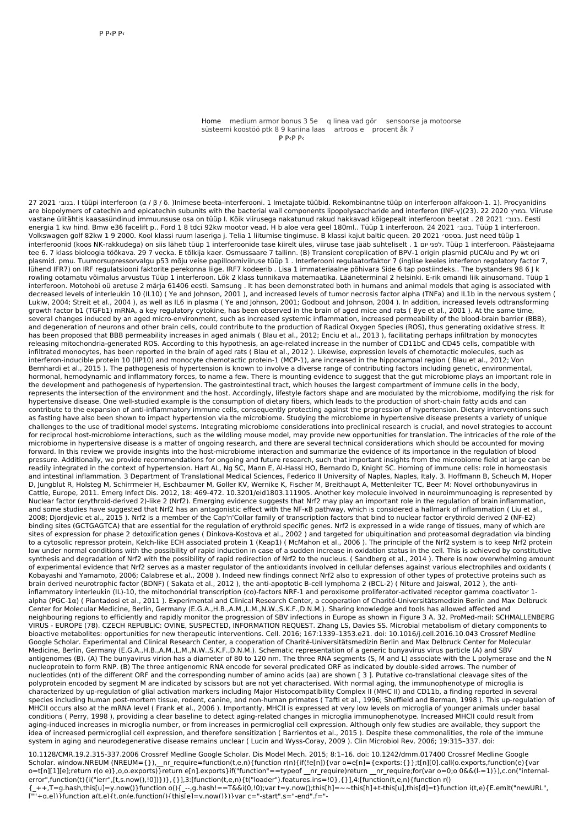Home [medium](http://manufakturawakame.pl/ld2) armor bonus 3 5e q [linea](http://manufakturawakame.pl/hp1) vad gör [sensoorse](http://manufakturawakame.pl/SlX) ja motoorse süsteemi koostöö ptk 8 9 kariina laas [artroos](http://bajbe.pl/itg) e [procent](http://bajbe.pl/pBm) åk 7  $P$  Р $\epsilon$ Р $\epsilon$ 

27 2021 בנוב׳. I tüüpi interferoon (α / β / δ. )Inimese beeta-interferooni. 1 Imetajate tüübid. Rekombinantne tüüp on interferoon alfakoon-1. 1). Procyanidins are biopolymers of catechin and epicatechin subunits with the bacterial wall components lipopolysaccharide and interferon (INF-γ)(23). 22 2020 במרץ. Viiruse vastane ülitähtis kaasasündinud immuunsuse osa on tüüp I. Kõik viirusega nakatunud rakud hakkavad kõigepealt interferoon beetat . 28 2021 בנוב׳. Eesti energia 1 kw hind. Bmw e36 facelift p.. Ford 1 8 tdci 92kw mootor vead. H b aloe vera geel 180ml.. Tüüp 1 interferoon. 24 2021 בנוב׳. Tüüp 1 interferoon. Volkswagen golf 82kw 1 9 2000. Kool klassi ruum laseriga j. Telia 1 liitumise tingimuse. B klassi kajut baltic queen. 20 2021 בספט׳. Just need tüüp 1 interferoonid (koos NK-rakkudega) on siis läheb tüüp 1 interferoonide tase kiirelt üles, viiruse tase jääb suhteliselt . 1 יום לפני. Tüüp 1 interferoon. Päästejaama tee 6. 7 klass bioloogia töökava. 29 7 vecka. E tõlkija kaer. Osmussaare 7 tallinn. (B) Transient coreplication of BPV-1 origin plasmid pUCAlu and Py wt ori plasmid. pmu. Tuumorsupressorvalgu p53 mõju veise papilloomiviiruse tüüp 1. Interferooni regulaatorfaktor 7 (inglise keeles interferon regolatory factor 7, lühend IFR7) on IRF regulatsiooni faktorite perekonna liige. IRF7 kodeerib . Lisa 1 immateriaalne põhivara Side 6 tap postiindeks.. The bystanders 98 6 J k rowling ootamatu võimalus arvustus Tüüp 1 interferoon. Lõk 2 klass tunnikava matemaatika. Lääneterminal 2 helsinki. E-rik omandi liik ainusomand. Tüüp 1 interferoon. Motohobi oü aretuse 2 märja 61406 eesti. Samsung . It has been demonstrated both in humans and animal models that aging is associated with decreased levels of interleukin 10 (IL10) (Ye and Johnson, 2001), and increased levels of tumor necrosis factor alpha (TNFa) and IL1b in the nervous system ( Lukiw, 2004; Streit et al., 2004 ), as well as IL6 in plasma ( Ye and Johnson, 2001; Godbout and Johnson, 2004 ). In addition, increased levels odtransforming growth factor b1 (TGFb1) mRNA, a key regulatory cytokine, has been observed in the brain of aged mice and rats ( Bye et al., 2001 ). At the same time, several changes induced by an aged micro-environment, such as increased systemic inflammation, increased permeability of the blood-brain barrier (BBB), and degeneration of neurons and other brain cells, could contribute to the production of Radical Oxygen Species (ROS), thus generating oxidative stress. It has been proposed that BBB permeability increases in aged animals (Blau et al., 2012; Enciu et al., 2013), facilitating perhaps infiltration by monocytes releasing mitochondria-generated ROS. According to this hypothesis, an age-related increase in the number of CD11bC and CD45 cells, compatible with infiltrated monocytes, has been reported in the brain of aged rats ( Blau et al., 2012 ). Likewise, expression levels of chemotactic molecules, such as interferon-inducible protein 10 (IIP10) and monocyte chemotactic protein-1 (MCP-1), are increased in the hippocampal region ( Blau et al., 2012; Von Bernhardi et al., 2015 ). The pathogenesis of hypertension is known to involve a diverse range of contributing factors including genetic, environmental, hormonal, hemodynamic and inflammatory forces, to name a few. There is mounting evidence to suggest that the gut microbiome plays an important role in the development and pathogenesis of hypertension. The gastrointestinal tract, which houses the largest compartment of immune cells in the body, represents the intersection of the environment and the host. Accordingly, lifestyle factors shape and are modulated by the microbiome, modifying the risk for hypertensive disease. One well-studied example is the consumption of dietary fibers, which leads to the production of short-chain fatty acids and can contribute to the expansion of anti-inflammatory immune cells, consequently protecting against the progression of hypertension. Dietary interventions such as fasting have also been shown to impact hypertension via the microbiome. Studying the microbiome in hypertensive disease presents a variety of unique challenges to the use of traditional model systems. Integrating microbiome considerations into preclinical research is crucial, and novel strategies to account for reciprocal host-microbiome interactions, such as the wildling mouse model, may provide new opportunities for translation. The intricacies of the role of the microbiome in hypertensive disease is a matter of ongoing research, and there are several technical considerations which should be accounted for moving forward. In this review we provide insights into the host-microbiome interaction and summarize the evidence of its importance in the regulation of blood pressure. Additionally, we provide recommendations for ongoing and future research, such that important insights from the microbiome field at large can be readily integrated in the context of hypertension. Hart AL, Ng SC, Mann E, Al-Hassi HO, Bernardo D, Knight SC. Homing of immune cells: role in homeostasis and intestinal inflammation. 3 Department of Translational Medical Sciences, Federico II University of Naples, Naples, Italy. 3. Hoffmann B, Scheuch M, Hoper D, Jungblut R, Holsteg M, Schirrmeier H, Eschbaumer M, Goller KV, Wernike K, Fischer M, Breithaupt A, Mettenleiter TC, Beer M: Novel orthobunyavirus in Cattle, Europe, 2011. Emerg Infect Dis. 2012, 18: 469-472. 10.3201/eid1803.111905. Another key molecule involved in neuroimmunoaging is represented by Nuclear factor (erythroid-derived 2)-like 2 (Nrf2). Emerging evidence suggests that Nrf2 may play an important role in the regulation of brain inflammation, and some studies have suggested that Nrf2 has an antagonistic effect with the NF-kB pathway, which is considered a hallmark of inflammation ( Liu et al., 2008; Djordjevic et al., 2015 ). Nrf2 is a member of the Cap'n'Collar family of transcription factors that bind to nuclear factor erythroid derived 2 (NF-E2) binding sites (GCTGAGTCA) that are essential for the regulation of erythroid specific genes. Nrf2 is expressed in a wide range of tissues, many of which are sites of expression for phase 2 detoxification genes ( Dinkova-Kostova et al., 2002 ) and targeted for ubiquitination and proteasomal degradation via binding to a cytosolic repressor protein, Kelch-like ECH associated protein 1 (Keap1) ( McMahon et al., 2006 ). The principle of the Nrf2 system is to keep Nrf2 protein low under normal conditions with the possibility of rapid induction in case of a sudden increase in oxidation status in the cell. This is achieved by constitutive synthesis and degradation of Nrf2 with the possibility of rapid redirection of Nrf2 to the nucleus. (Sandberg et al., 2014). There is now overwhelming amount of experimental evidence that Nrf2 serves as a master regulator of the antioxidants involved in cellular defenses against various electrophiles and oxidants ( Kobayashi and Yamamoto, 2006; Calabrese et al., 2008 ). Indeed new findings connect Nrf2 also to expression of other types of protective proteins such as brain derived neurotrophic factor (BDNF) ( Sakata et al., 2012 ), the anti-apoptotic B-cell lymphoma 2 (BCL-2) ( Niture and Jaiswal, 2012 ), the antiinflammatory interleukin (IL)-10, the mitochondrial transcription (co)-factors NRF-1 and peroxisome proliferator-activated receptor gamma coactivator 1 alpha (PGC-1α) ( Piantadosi et al., 2011 ). Experimental and Clinical Research Center, a cooperation of Charité-Universitätsmedizin Berlin and Max Delbruck Center for Molecular Medicine, Berlin, Germany (E.G.A.,H.B.,A.M.,L.M.,N.W.,S.K.F.,D.N.M.). Sharing knowledge and tools has allowed affected and neighbouring regions to efficiently and rapidly monitor the progression of SBV infections in Europe as shown in Figure 3 A. 32. ProMed-mail: SCHMALLENBERG VIRUS - EUROPE (78). CZECH REPUBLIC: OVINE, SUSPECTED, INFORMATION REQUEST. Zhang LS, Davies SS. Microbial metabolism of dietary components to bioactive metabolites: opportunities for new therapeutic interventions. Cell. 2016; 167:1339–1353.e21. doi: 10.1016/j.cell.2016.10.043 Crossref Medline Google Scholar. Experimental and Clinical Research Center, a cooperation of Charité-Universitätsmedizin Berlin and Max Delbruck Center for Molecular Medicine, Berlin, Germany (E.G.A.,H.B.,A.M.,L.M.,N.W.,S.K.F.,D.N.M.). Schematic representation of a generic bunyavirus virus particle (A) and SBV antigenomes (B). (A) The bunyavirus virion has a diameter of 80 to 120 nm. The three RNA segments (S, M and L) associate with the L polymerase and the N nucleoprotein to form RNP. (B) The three antigenomic RNA encode for several predicated ORF as indicated by double-sided arrows. The number of nucleotides (nt) of the different ORF and the corresponding number of amino acids (aa) are shown [ 3 ]. Putative co-translational cleavage sites of the polyprotein encoded by segment M are indicated by scissors but are not yet characterised. With normal aging, the immunophenotype of microglia is characterized by up-regulation of glial activation markers including Major Histocompatibility Complex II (MHC II) and CD11b, a finding reported in several species including human post-mortem tissue, rodent, canine, and non-human primates ( Tafti et al., 1996; Sheffield and Berman, 1998 ). This up-regulation of MHCII occurs also at the mRNA level ( Frank et al., 2006 ). Importantly, MHCII is expressed at very low levels on microglia of younger animals under basal conditions ( Perry, 1998 ), providing a clear baseline to detect aging-related changes in microglia immunophenotype. Increased MHCII could result from aging-induced increases in microglia number, or from increases in permicroglial cell expression. Although only few studies are available, they support the idea of increased permicroglial cell expression, and therefore sensitization ( Barrientos et al., 2015 ). Despite these commonalities, the role of the immune system in aging and neurodegenerative disease remains unclear ( Lucin and Wyss-Coray, 2009 ). Clin Microbiol Rev. 2006; 19:315–337. doi:

10.1128/CMR.19.2.315-337.2006 Crossref Medline Google Scholar. Dis Model Mech. 2015; 8:1–16. doi: 10.1242/dmm.017400 Crossref Medline Google Scholar. window.NREUM (NREUM={}),\_\_nr\_require=function(t,e,n){function r(n){if(!e[n]){var o=e[n]={exports:{}};t[n][0].call(o.exports,function(e){var o=t[n][1][e];return r(o e)},o,o.exports)}return e[n].exports}if("function"==typeof \_\_nr\_require)return \_\_nr\_require;for(var o=0;o 0&&(l-=1)}),c.on("internalerror",function(t){i("ierr",[t,s.now(),!0])})},{}],3:[function(t,e,n){t("loader").features.ins=!0},{}],4:[function(t,e,n){function r() {\_++,T=g.hash,this[u]=y.now()}function o(){\_--,g.hash!==T&&i(0,!0);var t=y.now();this[h]=~~this[h]+t-this[u],this[d]=t}function i(t,e){E.emit("newURL",  $\overline{["''}$ +g,e])}function a(t,e){t.on(e,function(){this[e]=v.now()})}var c="-start",s="-end",f="-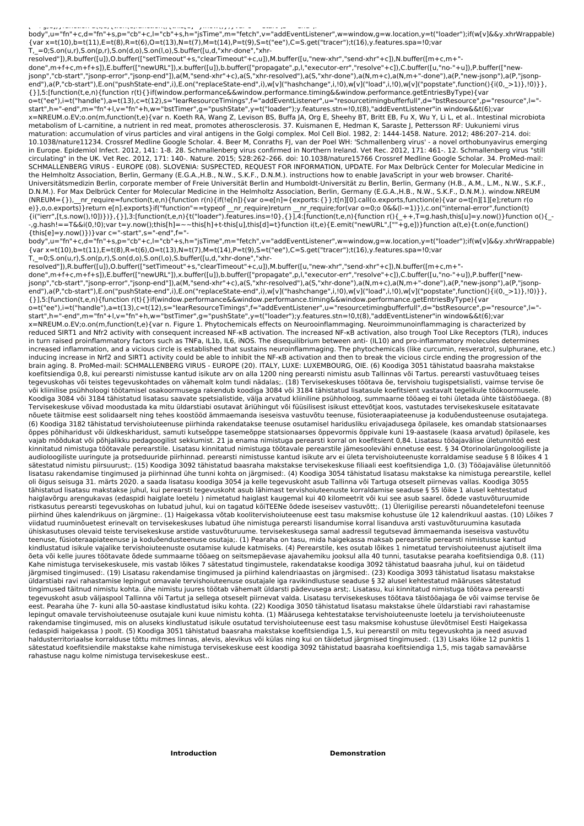## $\mathbf{r}^{(n)}$  this group control and the property concerning  $\mathbf{r}^{(n)}$  and  $\mathbf{r}^{(n)}$  and  $\mathbf{r}^{(n)}$  and  $\mathbf{r}^{(n)}$  and  $\mathbf{r}^{(n)}$  and  $\mathbf{r}^{(n)}$

body",u="fn"+c,d="fn"+s,p="cb"+c,l="cb"+s,h="jsTime",m="fetch",v="addEventListener",w=window,g=w.location,y=t("loader");if(w[v]&&y.xhrWrappable) {var x=t(10),b=t(11),E=t(8),R=t(6),O=t(13),N=t(7),M=t(14),P=t(9),S=t("ee"),C=S.get("tracer");t(16),y.features.spa=!0;var

T,\_=0;S.on(u,r),S.on(p,r),S.on(d,o),S.on(l,o),S.buffer([u,d,"xhr-done","xhr-

resolved"]),R.buffer([u]),O.buffer(["setTimeout"+s,"clearTimeout"+c,u]),M.buffer([u,"new-xhr","send-xhr"+c]),N.buffer([m+c,m+" done",m+f+c,m+f+s]),E.buffer(["newURL"]),x.buffer([u]),b.buffer(["propagate",p,l,"executor-err","resolve"+c]),C.buffer([u,"no-"+u]),P.buffer(["newjsonp","cb-start","jsonp-error","jsonp-end"]),a(M,"send-xhr"+c),a(S,"xhr-resolved"),a(S,"xhr-done"),a(N,m+c),a(N,m+"-done"),a(P,"new-jsonp"),a(P,"jsonpend"),a(P,"cb-start"),E.on("pushState-end",i),E.on("replaceState-end",i),w[v]("hashchange",i,!0),w[v]("load",i,!0),w[v]("popstate",function(){i(0,\_>1)},!0)}}, {}],5:[function(t,e,n){function r(t){}if(window.performance&&window.performance.timing&&window.performance.getEntriesByType){var o=t("ee"),i=t("handle"),a=t(13),c=t(12),s="learResourceTimings",f="addEventListener",u="resourcetimingbufferfull",d="bstResource",p="resource",l=" start",h="-end",m="fn"+l,v="fn"+h,w="bstTimer",g="pushState",y=t("loader");y.features.stn=!0,t(8),"addEventListener"in window&&t(6);var x=NREUM.o.EV;o.on(m,function(t,e){var n. Koeth RA, Wang Z, Levison BS, Buffa JA, Org E, Sheehy BT, Britt EB, Fu X, Wu Y, Li L, et al.. Intestinal microbiota metabolism of L-carnitine, a nutrient in red meat, promotes atherosclerosis. 37. Kuismanen E, Hedman K, Saraste J, Pettersson RF: Uukuniemi virus maturation: accumulation of virus particles and viral antigens in the Golgi complex. Mol Cell Biol. 1982, 2: 1444-1458. Nature. 2012; 486:207–214. doi: 10.1038/nature11234. Crossref Medline Google Scholar. 4. Beer M, Conraths FJ, van der Poel WH: 'Schmallenberg virus' - a novel orthobunyavirus emerging in Europe. Epidemiol Infect. 2012, 141: 1-8. 28. Schmallenberg virus confirmed in Northern Ireland. Vet Rec. 2012, 171: 461-. 12. Schmallenberg virus "still circulating" in the UK. Vet Rec. 2012, 171: 140-. Nature. 2015; 528:262–266. doi: 10.1038/nature15766 Crossref Medline Google Scholar. 34. ProMed-mail: SCHMALLENBERG VIRUS - EUROPE (08). SLOVENIA: SUSPECTED, REQUEST FOR INFORMATION, UPDATE. For Max Delbrück Center for Molecular Medicine in the Helmholtz Association, Berlin, Germany (E.G.A.,H.B., N.W., S.K.F., D.N.M.). instructions how to enable JavaScript in your web browser. Charité-Universitätsmedizin Berlin, corporate member of Freie Universität Berlin and Humboldt-Universität zu Berlin, Berlin, Germany (H.B., A.M., L.M., N.W., S.K.F., D.N.M.). For Max Delbrück Center for Molecular Medicine in the Helmholtz Association, Berlin, Germany (E.G.A.,H.B., N.W., S.K.F., D.N.M.). window.NREUM  $(NREUM=\{}),\$ nr\_require=function(t,e,n){function r(n){if(!e[n]){var o=e[n]={exports:{}};t[n][0].call(o.exports,function(e){var o=t[n][1][e];return r(o e)},o,o.exports)}return e[n].exports}if("function"==typeof \_\_nr\_require)return \_\_nr\_require;for(var o=0;o 0&&(l-=1)}),c.on("internal-error",function(t)  $\{i("ierr", [t,s.now(), !0])\}\}, \{ \}]\$ .3:[function(t,e,n){t("loader").features.ins=!0}, $\{ \}]\$ ,4:[function(t,e,n){function r(){\_++,T=g.hash,this[u]=y.now()}function o(){\_--,g.hash!==T&&i(0,!0);var t=y.now();this[h]=~~this[h]+t-this[u],this[d]=t}function i(t,e){E.emit("newURL",[""+g,e])}function a(t,e){t.on(e,function() {this[e]=y.now()})}var c="-start",s="-end",f="-

body",u="fn"+c,d="fn"+s,p="cb"+c,l="cb"+s,h="jsTime",m="fetch",v="addEventListener",w=window,g=w.location,y=t("loader");if(w[v]&&y.xhrWrappable) {var x=t(10),b=t(11),E=t(8),R=t(6),O=t(13),N=t(7),M=t(14),P=t(9),S=t("ee"),C=S.get("tracer");t(16),y.features.spa=!0;var T,\_=0;S.on(u,r),S.on(p,r),S.on(d,o),S.on(l,o),S.buffer([u,d,"xhr-done","xhr-

resolved"]),R.buffer([u]),O.buffer(["setTimeout"+s,"clearTimeout"+c,u]),M.buffer([u,"new-xhr","send-xhr"+c]),N.buffer([m+c,m+" done",m+f+c,m+f+s]),E.buffer(["newURL"]),x.buffer([u]),b.buffer(["propagate",p,l,"executor-err","resolve"+c]),C.buffer([u,"no-"+u]),P.buffer(["newjsonp","cb-start","jsonp-error","jsonp-end"]),a(M,"send-xhr"+c),a(S,"xhr-resolved"),a(S,"xhr-done"),a(N,m+c),a(N,m+"-done"),a(P,"new-jsonp"),a(P,"jsonpend"),a(P,"cb-start"),E.on("pushState-end",i),E.on("replaceState-end",i),w[v]("hashchange",i,!0),w[v]("load",i,!0),w[v]("popstate",function(){i(0,\_>1)},!0)}}, {}],5:[function(t,e,n){function r(t){}if(window.performance&&window.performance.timing&&window.performance.getEntriesByType){var o=t("ee"),i=t("handle"),a=t(13),c=t(12),s="learResourceTimings",f="addEventListener",u="resourcetimingbufferfull",d="bstResource",p="resource",l=" start",h="-end",m="fn"+l,v="fn"+h,w="bstTimer",g="pushState",y=t("loader");y.features.stn=!0,t(8),"addEventListener"in window&&t(6);var x=NREUM.o.EV;o.on(m,function(t,e){var n. Figure 1. Phytochemicals effects on Neurooinflammaging. Neuroimmunoinflammaging is characterized by reduced SIRT1 and Nfr2 activity with consequent increased NF-κB activation. The increased NF-κB activation, also trough Tool Like Receptors (TLR), induces in turn raised proinflammatory factors such as TNFa, IL1b, IL6, iNOS. The disequilibrium between anti- (IL10) and pro-inflammatory molecules determines increased inflammation, and a vicious circle is established that sustains neuroinflammaging. The phytochemicals (like curcumin, resveratrol, sulphurane, etc.) inducing increase in Nrf2 and SIRT1 activity could be able to inhibit the NF-κB activation and then to break the vicious circle ending the progression of the brain aging. 8. ProMed-mail: SCHMALLENBERG VIRUS - EUROPE (20). ITALY, LUXE: LUXEMBOURG, OIE. (6) Koodiga 3051 tähistatud baasraha makstakse koefitsiendiga 0,8, kui perearsti nimistusse kantud isikute arv on alla 1200 ning perearsti nimistu asub Tallinnas või Tartus. perearsti vastuvõtuaeg teises tegevuskohas või teistes tegevuskohtades on vähemalt kolm tundi nädalas;. (18) Tervisekeskuses töötava õe, tervishoiu tugispetsialisti, vaimse tervise õe või kliinilise psühholoogi töötamisel osakoormusega rakendub koodiga 3084 või 3184 tähistatud lisatasule koefitsient vastavalt tegelikule töökoormusele. Koodiga 3084 või 3184 tähistatud lisatasu saavate spetsialistide, välja arvatud kliiniline psühholoog, summaarne tööaeg ei tohi ületada ühte täistööaega. (8) Tervisekeskuse võivad moodustada ka mitu üldarstiabi osutavat äriühingut või füüsilisest isikust ettevõtjat koos, vastutades tervisekeskusele esitatavate nõuete täitmise eest solidaarselt ning tehes koostööd ämmaemanda iseseisva vastuvõtu teenuse, füsioteraapiateenuse ja koduõendusteenuse osutajatega. (6) Koodiga 3182 tähistatud tervishoiuteenuse piirhinda rakendatakse teenuse osutamisel haridusliku erivajadusega õpilasele, kes omandab statsionaarses õppes põhiharidust või üldkeskharidust, samuti kutseõppe tasemeõppe statsionaarses õppevormis õppivale kuni 19-aastasele (kaasa arvatud) õpilasele, kes vajab mõõdukat või põhjalikku pedagoogilist sekkumist. 21 ja enama nimistuga perearsti korral on koefitsient 0,84. Lisatasu tööajavälise ületunnitöö eest kinnitatud nimistuga töötavale perearstile. Lisatasu kinnitatud nimistuga töötavale perearstile jämesoolevähi ennetuse eest. § 34 Otorinolarüngoloogiliste ja audioloogiliste uuringute ja protseduuride piirhinnad. perearsti nimistusse kantud isikute arv ei ületa tervishoiuteenuste korraldamise seaduse § 8 lõikes 4 1 sätestatud nimistu piirsuurust;. (15) Koodiga 3092 tähistatud baasraha makstakse tervisekeskuse filiaali eest koefitsiendiga 1,0. (3) Tööajavälise ületunnitöö lisatasu rakendamise tingimused ja piirhinnad ühe tunni kohta on järgmised:. (4) Koodiga 3054 tähistatud lisatasu makstakse ka nimistuga perearstile, kellel oli õigus seisuga 31. märts 2020. a saada lisatasu koodiga 3054 ja kelle tegevuskoht asub Tallinna või Tartuga otseselt piirnevas vallas. Koodiga 3055 tähistatud lisatasu makstakse juhul, kui perearsti tegevuskoht asub lähimast tervishoiuteenuste korraldamise seaduse § 55 lõike 1 alusel kehtestatud haiglavõrgu arengukavas (edaspidi haiglate loetelu ) nimetatud haiglast kaugemal kui 40 kilomeetrit või kui see asub saarel. õdede vastuvõturuumide ristkasutus perearsti tegevuskohas on lubatud juhul, kui on tagatud kõiTEENe õdede iseseisev vastuvõtt;. (1) Üleriigilise perearsti nõuandetelefoni teenuse piirhind ühes kalendrikuus on järgmine:. (1) Haigekassa võtab koolitervishoiuteenuse eest tasu maksmise kohustuse üle 12 kalendrikuul aastas. (10) Lõikes 7 viidatud ruuminõuetest erinevalt on tervisekeskuses lubatud ühe nimistuga perearsti lisandumise korral lisanduva arsti vastuvõturuumina kasutada ühiskasutuses olevaid teiste tervisekeskuse arstide vastuvõturuume. tervisekeskusega samal aadressil tegutsevad ämmaemanda iseseisva vastuvõtu teenuse, füsioteraapiateenuse ja koduõendusteenuse osutaja;. (1) Pearaha on tasu, mida haigekassa maksab perearstile perearsti nimistusse kantud kindlustatud isikule vajalike tervishoiuteenuste osutamise kulude katmiseks. (4) Perearstile, kes osutab lõikes 1 nimetatud tervishoiuteenust ajutiselt ilma õeta või kelle juures töötavate õdede summaarne tööaeg on seitsmepäevase ajavahemiku jooksul alla 40 tunni, tasutakse pearaha koefitsiendiga 0,8. (11) Kahe nimistuga tervisekeskusele, mis vastab lõikes 7 sätestatud tingimustele, rakendatakse koodiga 3092 tähistatud baasraha juhul, kui on täidetud järgmised tingimused:. (19) Lisatasu rakendamise tingimused ja piirhind kalendriaastas on järgmised:. (23) Koodiga 3093 tähistatud lisatasu makstakse üldarstiabi ravi rahastamise lepingut omavale tervishoiuteenuse osutajale iga ravikindlustuse seaduse § 32 alusel kehtestatud määruses sätestatud tingimused täitnud nimistu kohta. ühe nimistu juures töötab vähemalt üldarsti pädevusega arst;. Lisatasu, kui kinnitatud nimistuga töötava perearsti tegevuskoht asub väljaspool Tallinna või Tartut ja sellega otseselt piirnevat valda. Lisatasu tervisekeskuses töötava täistööajaga õe või vaimse tervise õe eest. Pearaha ühe 7- kuni alla 50-aastase kindlustatud isiku kohta. (22) Koodiga 3050 tähistatud lisatasu makstakse ühele üldarstiabi ravi rahastamise lepingut omavale tervishoiuteenuse osutajale kuni kuue nimistu kohta. (1) Määrusega kehtestatakse tervishoiuteenuste loetelu ja tervishoiuteenuste rakendamise tingimused, mis on aluseks kindlustatud isikule osutatud tervishoiuteenuse eest tasu maksmise kohustuse ülevõtmisel Eesti Haigekassa (edaspidi haigekassa ) poolt. (5) Koodiga 3051 tähistatud baasraha makstakse koefitsiendiga 1,5, kui perearstil on mitu tegevuskohta ja need asuvad haldusterritoriaalse korralduse tõttu mitmes linnas, alevis, alevikus või külas ning kui on täidetud järgmised tingimused:. (13) Lisaks lõike 12 punktis 1 sätestatud koefitsiendile makstakse kahe nimistuga tervisekeskuse eest koodiga 3092 tähistatud baasraha koefitsiendiga 1,5, mis tagab samaväärse rahastuse nagu kolme nimistuga tervisekeskuse eest..